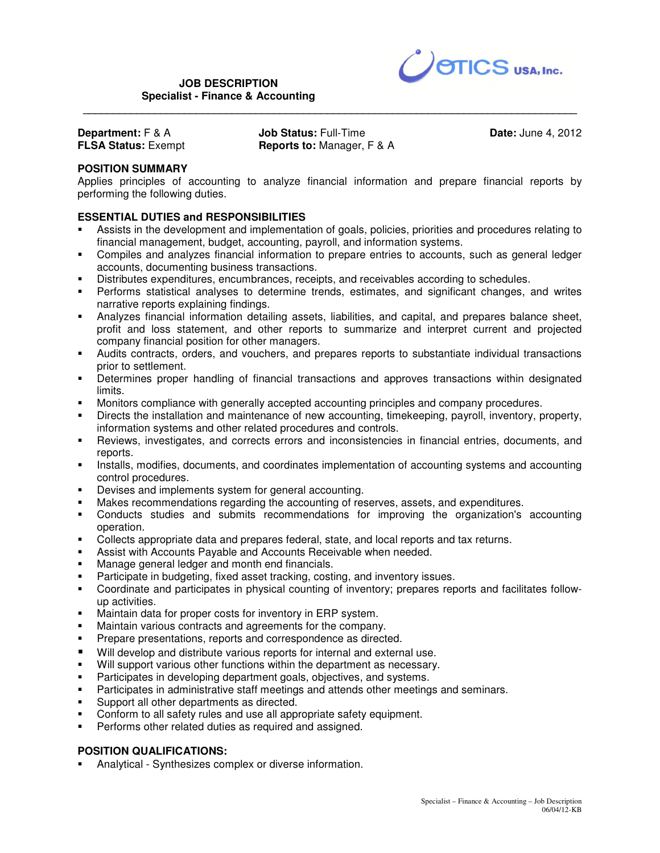

**Department:** F & A **FLSA Status:** Exempt **Job Status:** Full-Time **Reports to:** Manager, F & A

 **\_\_\_\_\_\_\_\_\_\_\_\_\_\_\_\_\_\_\_\_\_\_\_\_\_\_\_\_\_\_\_\_\_\_\_\_\_\_\_\_\_\_\_\_\_\_\_\_\_\_\_\_\_\_\_\_\_\_\_\_\_\_\_\_\_\_\_\_\_\_\_\_\_\_\_\_\_\_\_\_\_\_\_** 

**Date:** June 4, 2012

# **POSITION SUMMARY**

Applies principles of accounting to analyze financial information and prepare financial reports by performing the following duties.

# **ESSENTIAL DUTIES and RESPONSIBILITIES**

- Assists in the development and implementation of goals, policies, priorities and procedures relating to financial management, budget, accounting, payroll, and information systems.
- Compiles and analyzes financial information to prepare entries to accounts, such as general ledger accounts, documenting business transactions.
- Distributes expenditures, encumbrances, receipts, and receivables according to schedules.
- Performs statistical analyses to determine trends, estimates, and significant changes, and writes narrative reports explaining findings.
- Analyzes financial information detailing assets, liabilities, and capital, and prepares balance sheet, profit and loss statement, and other reports to summarize and interpret current and projected company financial position for other managers.
- Audits contracts, orders, and vouchers, and prepares reports to substantiate individual transactions prior to settlement.
- Determines proper handling of financial transactions and approves transactions within designated limits.
- Monitors compliance with generally accepted accounting principles and company procedures.
- Directs the installation and maintenance of new accounting, timekeeping, payroll, inventory, property, information systems and other related procedures and controls.
- Reviews, investigates, and corrects errors and inconsistencies in financial entries, documents, and reports.
- **Installs, modifies, documents, and coordinates implementation of accounting systems and accounting** control procedures.
- Devises and implements system for general accounting.
- Makes recommendations regarding the accounting of reserves, assets, and expenditures.
- Conducts studies and submits recommendations for improving the organization's accounting operation.
- Collects appropriate data and prepares federal, state, and local reports and tax returns.
- Assist with Accounts Payable and Accounts Receivable when needed.
- Manage general ledger and month end financials.
- Participate in budgeting, fixed asset tracking, costing, and inventory issues.
- Coordinate and participates in physical counting of inventory; prepares reports and facilitates followup activities.
- Maintain data for proper costs for inventory in ERP system.
- Maintain various contracts and agreements for the company.
- Prepare presentations, reports and correspondence as directed.
- Will develop and distribute various reports for internal and external use.
- Will support various other functions within the department as necessary.
- Participates in developing department goals, objectives, and systems.
- Participates in administrative staff meetings and attends other meetings and seminars.
- **Support all other departments as directed.**
- Conform to all safety rules and use all appropriate safety equipment.
- Performs other related duties as required and assigned.

### **POSITION QUALIFICATIONS:**

Analytical - Synthesizes complex or diverse information.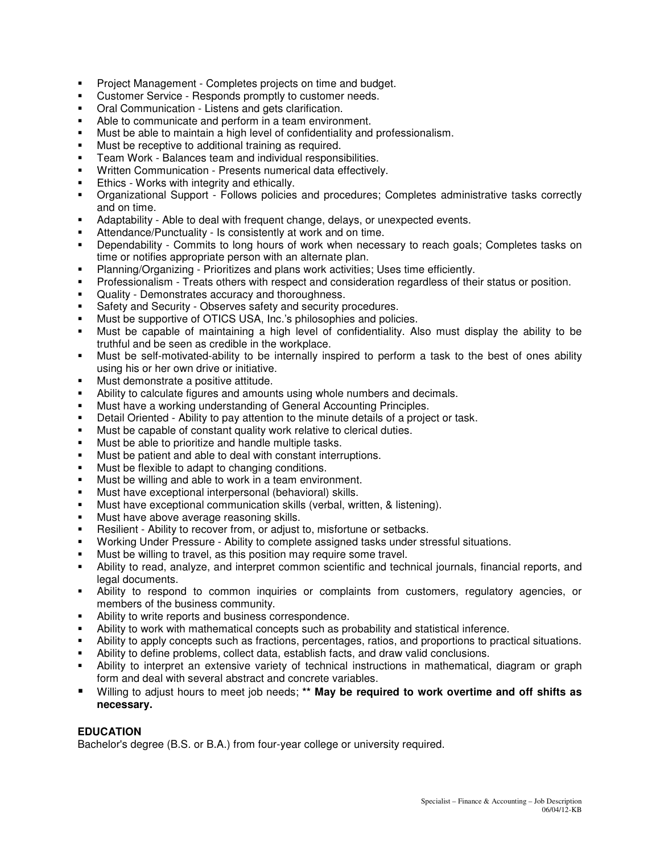- **Project Management Completes projects on time and budget.**
- Customer Service Responds promptly to customer needs.
- Oral Communication Listens and gets clarification.
- Able to communicate and perform in a team environment.
- Must be able to maintain a high level of confidentiality and professionalism.
- Must be receptive to additional training as required.
- Team Work Balances team and individual responsibilities.
- Written Communication Presents numerical data effectively.
- Ethics Works with integrity and ethically.
- Organizational Support Follows policies and procedures; Completes administrative tasks correctly and on time.
- Adaptability Able to deal with frequent change, delays, or unexpected events.
- Attendance/Punctuality Is consistently at work and on time.
- Dependability Commits to long hours of work when necessary to reach goals; Completes tasks on time or notifies appropriate person with an alternate plan.
- Planning/Organizing Prioritizes and plans work activities; Uses time efficiently.
- Professionalism Treats others with respect and consideration regardless of their status or position.
- Quality Demonstrates accuracy and thoroughness.
- Safety and Security Observes safety and security procedures.
- Must be supportive of OTICS USA, Inc.'s philosophies and policies.
- Must be capable of maintaining a high level of confidentiality. Also must display the ability to be truthful and be seen as credible in the workplace.
- Must be self-motivated-ability to be internally inspired to perform a task to the best of ones ability using his or her own drive or initiative.
- Must demonstrate a positive attitude.
- Ability to calculate figures and amounts using whole numbers and decimals.
- **Must have a working understanding of General Accounting Principles.**
- **Detail Oriented Ability to pay attention to the minute details of a project or task.**
- Must be capable of constant quality work relative to clerical duties.
- Must be able to prioritize and handle multiple tasks.
- Must be patient and able to deal with constant interruptions.
- Must be flexible to adapt to changing conditions.
- Must be willing and able to work in a team environment.
- Must have exceptional interpersonal (behavioral) skills.
- Must have exceptional communication skills (verbal, written, & listening).
- Must have above average reasoning skills.
- Resilient Ability to recover from, or adjust to, misfortune or setbacks.
- Working Under Pressure Ability to complete assigned tasks under stressful situations.
- Must be willing to travel, as this position may require some travel.
- Ability to read, analyze, and interpret common scientific and technical journals, financial reports, and legal documents.
- Ability to respond to common inquiries or complaints from customers, regulatory agencies, or members of the business community.
- Ability to write reports and business correspondence.
- Ability to work with mathematical concepts such as probability and statistical inference.
- Ability to apply concepts such as fractions, percentages, ratios, and proportions to practical situations.
- Ability to define problems, collect data, establish facts, and draw valid conclusions.
- Ability to interpret an extensive variety of technical instructions in mathematical, diagram or graph form and deal with several abstract and concrete variables.
- Willing to adjust hours to meet job needs; **\*\* May be required to work overtime and off shifts as necessary.**

# **EDUCATION**

Bachelor's degree (B.S. or B.A.) from four-year college or university required.